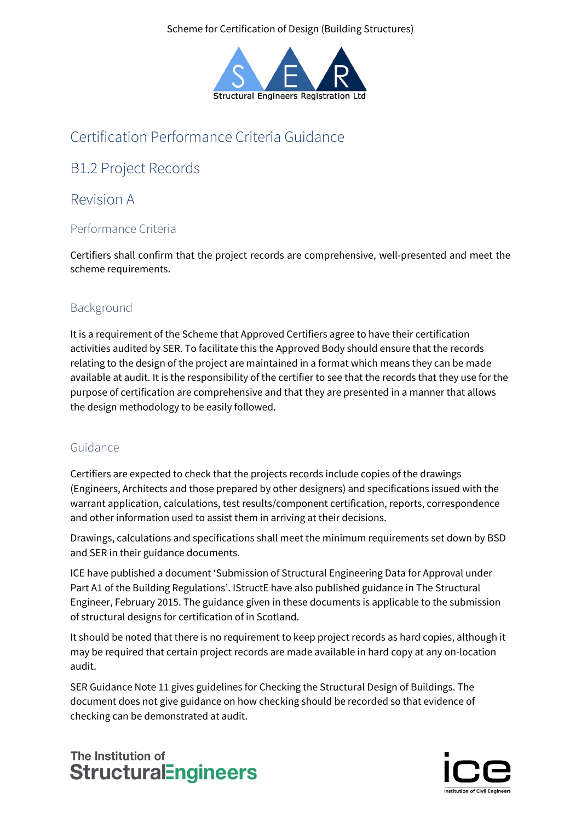Scheme for Certification of Design (Building Structures)



# Certification Performance Criteria Guidance

## B1.2 Project Records

### Revision A

### Performance Criteria

Certifiers shall confirm that the project records are comprehensive, well-presented and meet the scheme requirements.

### Background

It is a requirement of the Scheme that Approved Certifiers agree to have their certification activities audited by SER. To facilitate this the Approved Body should ensure that the records relating to the design of the project are maintained in a format which means they can be made available at audit. It is the responsibility of the certifier to see that the records that they use for the purpose of certification are comprehensive and that they are presented in a manner that allows the design methodology to be easily followed.

### Guidance

Certifiers are expected to check that the projects records include copies of the drawings (Engineers, Architects and those prepared by other designers) and specifications issued with the warrant application, calculations, test results/component certification, reports, correspondence and other information used to assist them in arriving at their decisions.

Drawings, calculations and specifications shall meet the minimum requirements set down by BSD and SER in their guidance documents.

ICE have published a document 'Submission of Structural Engineering Data for Approval under Part A1 of the Building Regulations'. IStructE have also published guidance in The Structural Engineer, February 2015. The guidance given in these documents is applicable to the submission of structural designs for certification of in Scotland.

It should be noted that there is no requirement to keep project records as hard copies, although it may be required that certain project records are made available in hard copy at any on-location audit.

SER Guidance Note 11 gives guidelines for Checking the Structural Design of Buildings. The document does not give guidance on how checking should be recorded so that evidence of checking can be demonstrated at audit.

# The Institution of **StructuralEngineers**